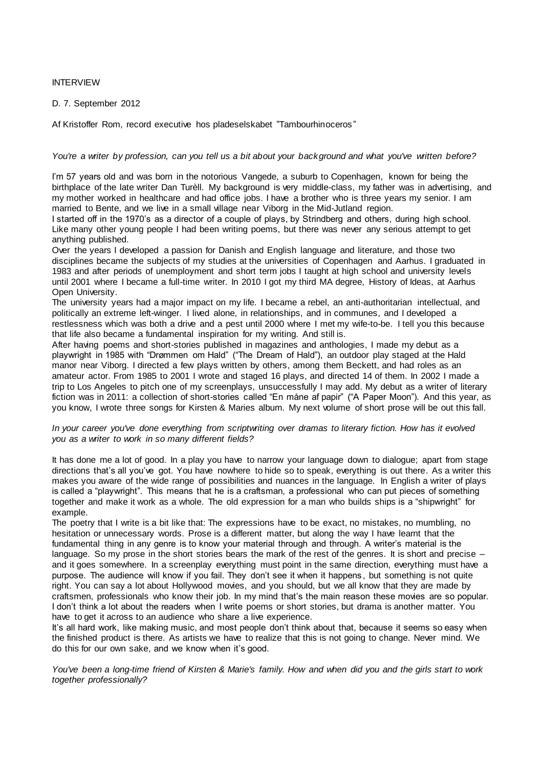# INTERVIEW

### D. 7. September 2012

Af Kristoffer Rom, record executive hos pladeselskabet "Tambourhinoceros "

#### *You're a writer by profession, can you tell us a bit about your background and what you've written before?*

I'm 57 years old and was born in the notorious Vangede, a suburb to Copenhagen, known for being the birthplace of the late writer Dan Turèll. My background is very middle-class, my father was in advertising, and my mother worked in healthcare and had office jobs. I have a brother who is three years my senior. I am married to Bente, and we live in a small village near Viborg in the Mid-Jutland region.

I started off in the 1970's as a director of a couple of plays, by Strindberg and others, during high school. Like many other young people I had been writing poems, but there was never any serious attempt to get anything published.

Over the years I developed a passion for Danish and English language and literature, and those two disciplines became the subjects of my studies at the universities of Copenhagen and Aarhus. I graduated in 1983 and after periods of unemployment and short term jobs I taught at high school and university levels until 2001 where I became a full-time writer. In 2010 I got my third MA degree, History of Ideas, at Aarhus Open University.

The university years had a major impact on my life. I became a rebel, an anti-authoritarian intellectual, and politically an extreme left-winger. I lived alone, in relationships, and in communes, and I developed a restlessness which was both a drive and a pest until 2000 where I met my wife-to-be. I tell you this because that life also became a fundamental inspiration for my writing. And still is.

After having poems and short-stories published in magazines and anthologies, I made my debut as a playwright in 1985 with "Drømmen om Hald" ("The Dream of Hald"), an outdoor play staged at the Hald manor near Viborg. I directed a few plays written by others, among them Beckett, and had roles as an amateur actor. From 1985 to 2001 I wrote and staged 16 plays, and directed 14 of them. In 2002 I made a trip to Los Angeles to pitch one of my screenplays, unsuccessfully I may add. My debut as a writer of literary fiction was in 2011: a collection of short-stories called "En måne af papir" ("A Paper Moon"). And this year, as you know, I wrote three songs for Kirsten & Maries album. My next volume of short prose will be out this fall.

# *In your career you've done everything from scriptwriting over dramas to literary fiction. How has it evolved you as a writer to work in so many different fields?*

It has done me a lot of good. In a play you have to narrow your language down to dialogue; apart from stage directions that's all you've got. You have nowhere to hide so to speak, everything is out there. As a writer this makes you aware of the wide range of possibilities and nuances in the language. In English a writer of plays is called a "playwright". This means that he is a craftsman, a professional who can put pieces of something together and make it work as a whole. The old expression for a man who builds ships is a "shipwright" for example.

The poetry that I write is a bit like that: The expressions have to be exact, no mistakes, no mumbling, no hesitation or unnecessary words. Prose is a different matter, but along the way I have learnt that the fundamental thing in any genre is to know your material through and through. A writer's material is the language. So my prose in the short stories bears the mark of the rest of the genres. It is short and precise and it goes somewhere. In a screenplay everything must point in the same direction, everything must have a purpose. The audience will know if you fail. They don't see it when it happens , but something is not quite right. You can say a lot about Hollywood movies, and you should, but we all know that they are made by craftsmen, professionals who know their job. In my mind that's the main reason these movies are so popular. I don't think a lot about the readers when I write poems or short stories, but drama is another matter. You have to get it across to an audience who share a live experience.

It's all hard work, like making music, and most people don't think about that, because it seems so easy when the finished product is there. As artists we have to realize that this is not going to change. Never mind. We do this for our own sake, and we know when it's good.

*You've been a long-time friend of Kirsten & Marie's family. How and when did you and the girls start to work together professionally?*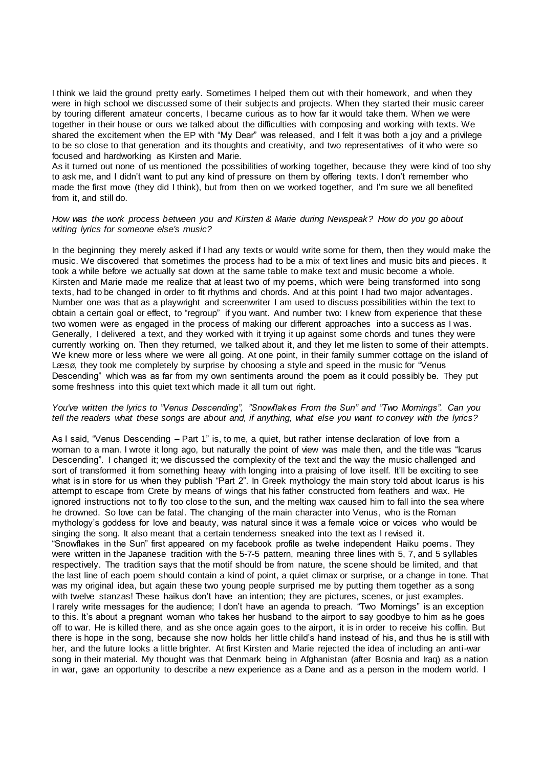I think we laid the ground pretty early. Sometimes I helped them out with their homework, and when they were in high school we discussed some of their subjects and projects. When they started their music career by touring different amateur concerts, I became curious as to how far it would take them. When we were together in their house or ours we talked about the difficulties with composing and working with texts. We shared the excitement when the EP with "My Dear" was released, and I felt it was both a joy and a privilege to be so close to that generation and its thoughts and creativity, and two representatives of it who were so focused and hardworking as Kirsten and Marie.

As it turned out none of us mentioned the possibilities of working together, because they were kind of too shy to ask me, and I didn't want to put any kind of pressure on them by offering texts. I don't remember who made the first move (they did I think), but from then on we worked together, and I'm sure we all benefited from it, and still do.

### *How was the work process between you and Kirsten & Marie during Newspeak? How do you go about writing lyrics for someone else's music?*

In the beginning they merely asked if I had any texts or would write some for them, then they would make the music. We discovered that sometimes the process had to be a mix of text lines and music bits and pieces. It took a while before we actually sat down at the same table to make text and music become a whole. Kirsten and Marie made me realize that at least two of my poems, which were being transformed into song texts, had to be changed in order to fit rhythms and chords. And at this point I had two major advantages. Number one was that as a playwright and screenwriter I am used to discuss possibilities within the text to obtain a certain goal or effect, to "regroup" if you want. And number two: I knew from experience that these two women were as engaged in the process of making our different approaches into a success as I was. Generally, I delivered a text, and they worked with it trying it up against some chords and tunes they were currently working on. Then they returned, we talked about it, and they let me listen to some of their attempts. We knew more or less where we were all going. At one point, in their family summer cottage on the island of Læsø, they took me completely by surprise by choosing a style and speed in the music for "Venus Descending" which was as far from my own sentiments around the poem as it could possibly be. They put some freshness into this quiet text which made it all turn out right.

# *You've written the lyrics to "Venus Descending", "Snowflakes From the Sun" and "Two Mornings". Can you tell the readers what these songs are about and, if anything, what else you want to convey with the lyrics?*

As I said, "Venus Descending – Part 1" is, to me, a quiet, but rather intense declaration of love from a woman to a man. I wrote it long ago, but naturally the point of view was male then, and the title was "Icarus Descending". I changed it; we discussed the complexity of the text and the way the music challenged and sort of transformed it from something heavy with longing into a praising of love itself. It'll be exciting to see what is in store for us when they publish "Part 2". In Greek mythology the main story told about Icarus is his attempt to escape from Crete by means of wings that his father constructed from feathers and wax. He ignored instructions not to fly too close to the sun, and the melting wax caused him to fall into the sea where he drowned. So love can be fatal. The changing of the main character into Venus, who is the Roman mythology's goddess for love and beauty, was natural since it was a female voice or voices who would be singing the song. It also meant that a certain tenderness sneaked into the text as I revised it. "Snowflakes in the Sun" first appeared on my facebook profile as twelve independent Haiku poems . They were written in the Japanese tradition with the 5-7-5 pattern, meaning three lines with 5, 7, and 5 syllables respectively. The tradition says that the motif should be from nature, the scene should be limited, and that the last line of each poem should contain a kind of point, a quiet climax or surprise, or a change in tone. That was my original idea, but again these two young people surprised me by putting them together as a song with twelve stanzas! These haikus don't have an intention; they are pictures, scenes, or just examples. I rarely write messages for the audience; I don't have an agenda to preach. "Two Mornings" is an exception to this. It's about a pregnant woman who takes her husband to the airport to say goodbye to him as he goes off to war. He is killed there, and as she once again goes to the airport, it is in order to receive his coffin. But there is hope in the song, because she now holds her little child's hand instead of his, and thus he is still with her, and the future looks a little brighter. At first Kirsten and Marie rejected the idea of including an anti-war song in their material. My thought was that Denmark being in Afghanistan (after Bosnia and Iraq) as a nation in war, gave an opportunity to describe a new experience as a Dane and as a person in the modern world. I